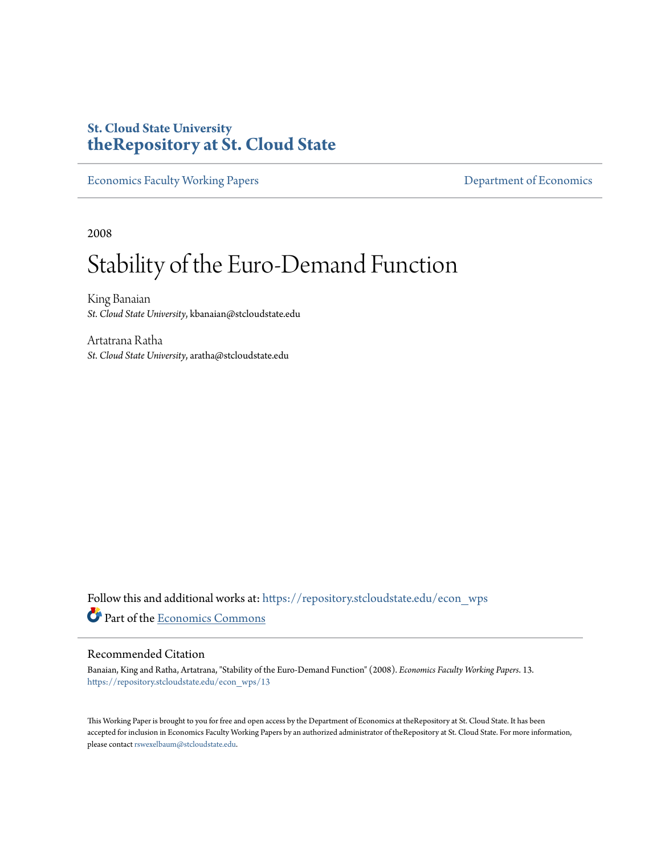# **St. Cloud State University [theRepository at St. Cloud State](https://repository.stcloudstate.edu?utm_source=repository.stcloudstate.edu%2Fecon_wps%2F13&utm_medium=PDF&utm_campaign=PDFCoverPages)**

[Economics Faculty Working Papers](https://repository.stcloudstate.edu/econ_wps?utm_source=repository.stcloudstate.edu%2Fecon_wps%2F13&utm_medium=PDF&utm_campaign=PDFCoverPages) **[Department of Economics](https://repository.stcloudstate.edu/econ?utm_source=repository.stcloudstate.edu%2Fecon_wps%2F13&utm_medium=PDF&utm_campaign=PDFCoverPages)** 

2008

# Stability of the Euro-Demand Function

King Banaian *St. Cloud State University*, kbanaian@stcloudstate.edu

Artatrana Ratha *St. Cloud State University*, aratha@stcloudstate.edu

Follow this and additional works at: [https://repository.stcloudstate.edu/econ\\_wps](https://repository.stcloudstate.edu/econ_wps?utm_source=repository.stcloudstate.edu%2Fecon_wps%2F13&utm_medium=PDF&utm_campaign=PDFCoverPages) Part of the [Economics Commons](http://network.bepress.com/hgg/discipline/340?utm_source=repository.stcloudstate.edu%2Fecon_wps%2F13&utm_medium=PDF&utm_campaign=PDFCoverPages)

#### Recommended Citation

Banaian, King and Ratha, Artatrana, "Stability of the Euro-Demand Function" (2008). *Economics Faculty Working Papers*. 13. [https://repository.stcloudstate.edu/econ\\_wps/13](https://repository.stcloudstate.edu/econ_wps/13?utm_source=repository.stcloudstate.edu%2Fecon_wps%2F13&utm_medium=PDF&utm_campaign=PDFCoverPages)

This Working Paper is brought to you for free and open access by the Department of Economics at theRepository at St. Cloud State. It has been accepted for inclusion in Economics Faculty Working Papers by an authorized administrator of theRepository at St. Cloud State. For more information, please contact [rswexelbaum@stcloudstate.edu.](mailto:rswexelbaum@stcloudstate.edu)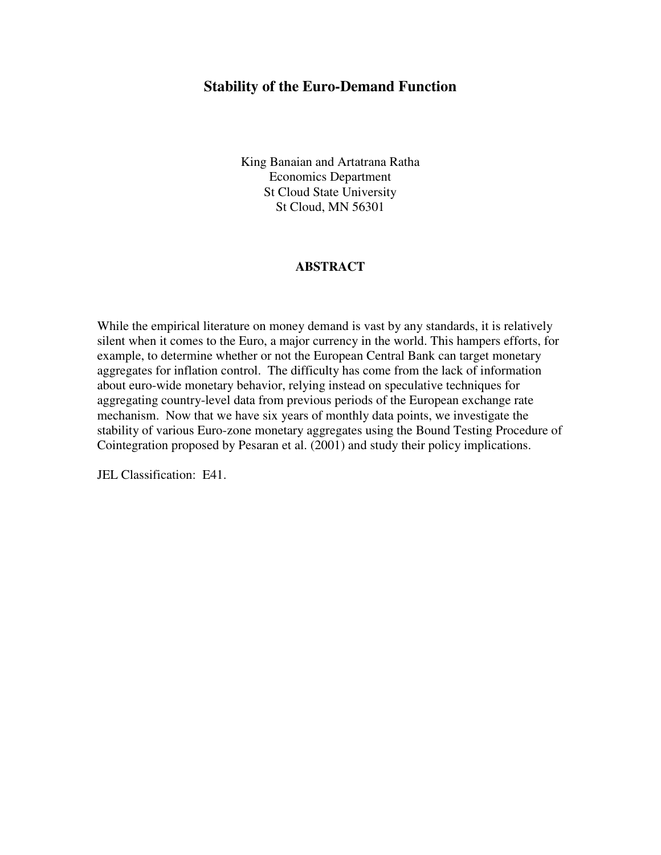## **Stability of the Euro-Demand Function**

King Banaian and Artatrana Ratha Economics Department St Cloud State University St Cloud, MN 56301

### **ABSTRACT**

While the empirical literature on money demand is vast by any standards, it is relatively silent when it comes to the Euro, a major currency in the world. This hampers efforts, for example, to determine whether or not the European Central Bank can target monetary aggregates for inflation control. The difficulty has come from the lack of information about euro-wide monetary behavior, relying instead on speculative techniques for aggregating country-level data from previous periods of the European exchange rate mechanism. Now that we have six years of monthly data points, we investigate the stability of various Euro-zone monetary aggregates using the Bound Testing Procedure of Cointegration proposed by Pesaran et al. (2001) and study their policy implications.

JEL Classification: E41.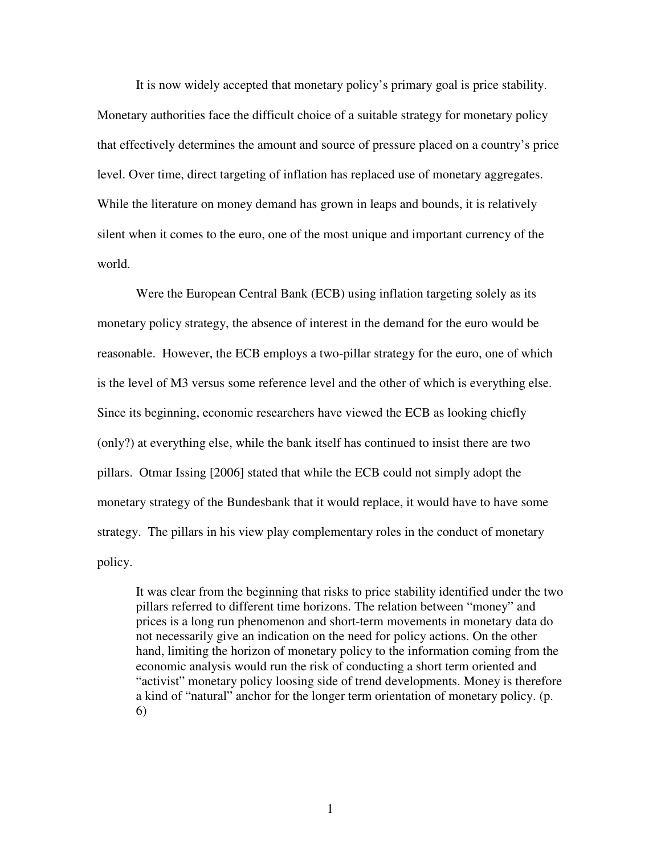It is now widely accepted that monetary policy's primary goal is price stability. Monetary authorities face the difficult choice of a suitable strategy for monetary policy that effectively determines the amount and source of pressure placed on a country's price level. Over time, direct targeting of inflation has replaced use of monetary aggregates. While the literature on money demand has grown in leaps and bounds, it is relatively silent when it comes to the euro, one of the most unique and important currency of the world.

Were the European Central Bank (ECB) using inflation targeting solely as its monetary policy strategy, the absence of interest in the demand for the euro would be reasonable. However, the ECB employs a two-pillar strategy for the euro, one of which is the level of M3 versus some reference level and the other of which is everything else. Since its beginning, economic researchers have viewed the ECB as looking chiefly (only?) at everything else, while the bank itself has continued to insist there are two pillars. Otmar Issing [2006] stated that while the ECB could not simply adopt the monetary strategy of the Bundesbank that it would replace, it would have to have some strategy. The pillars in his view play complementary roles in the conduct of monetary policy.

It was clear from the beginning that risks to price stability identified under the two pillars referred to different time horizons. The relation between "money" and prices is a long run phenomenon and short-term movements in monetary data do not necessarily give an indication on the need for policy actions. On the other hand, limiting the horizon of monetary policy to the information coming from the economic analysis would run the risk of conducting a short term oriented and "activist" monetary policy loosing side of trend developments. Money is therefore a kind of "natural" anchor for the longer term orientation of monetary policy. (p. 6)

1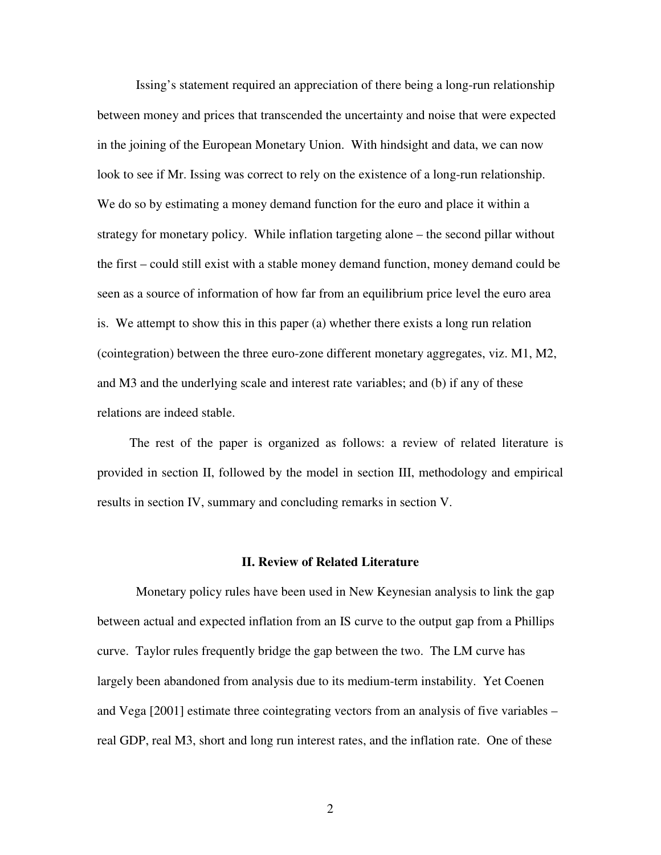Issing's statement required an appreciation of there being a long-run relationship between money and prices that transcended the uncertainty and noise that were expected in the joining of the European Monetary Union. With hindsight and data, we can now look to see if Mr. Issing was correct to rely on the existence of a long-run relationship. We do so by estimating a money demand function for the euro and place it within a strategy for monetary policy. While inflation targeting alone – the second pillar without the first – could still exist with a stable money demand function, money demand could be seen as a source of information of how far from an equilibrium price level the euro area is. We attempt to show this in this paper (a) whether there exists a long run relation (cointegration) between the three euro-zone different monetary aggregates, viz. M1, M2, and M3 and the underlying scale and interest rate variables; and (b) if any of these relations are indeed stable.

 The rest of the paper is organized as follows: a review of related literature is provided in section II, followed by the model in section III, methodology and empirical results in section IV, summary and concluding remarks in section V.

#### **II. Review of Related Literature**

Monetary policy rules have been used in New Keynesian analysis to link the gap between actual and expected inflation from an IS curve to the output gap from a Phillips curve. Taylor rules frequently bridge the gap between the two. The LM curve has largely been abandoned from analysis due to its medium-term instability. Yet Coenen and Vega [2001] estimate three cointegrating vectors from an analysis of five variables – real GDP, real M3, short and long run interest rates, and the inflation rate. One of these

2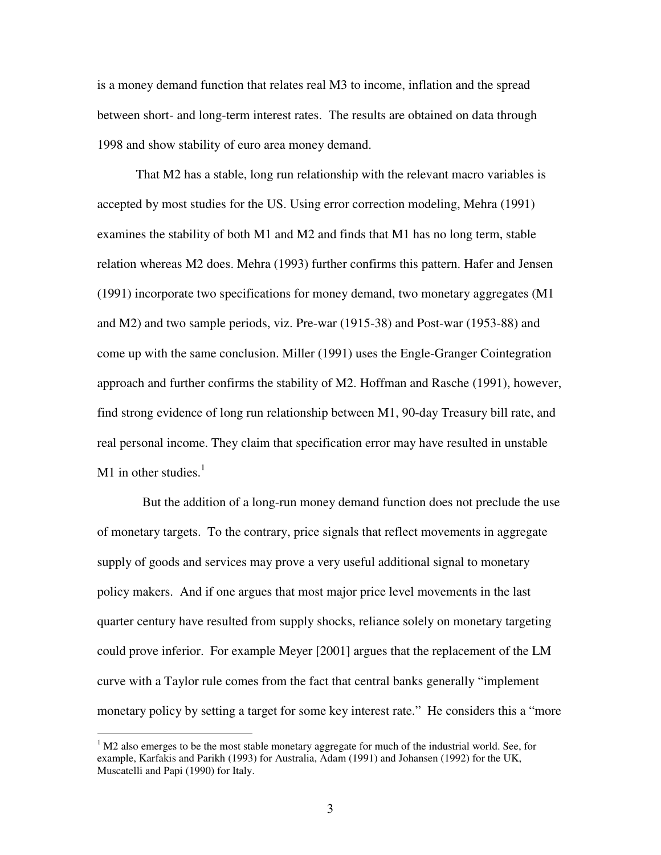is a money demand function that relates real M3 to income, inflation and the spread between short- and long-term interest rates. The results are obtained on data through 1998 and show stability of euro area money demand.

That M2 has a stable, long run relationship with the relevant macro variables is accepted by most studies for the US. Using error correction modeling, Mehra (1991) examines the stability of both M1 and M2 and finds that M1 has no long term, stable relation whereas M2 does. Mehra (1993) further confirms this pattern. Hafer and Jensen (1991) incorporate two specifications for money demand, two monetary aggregates (M1 and M2) and two sample periods, viz. Pre-war (1915-38) and Post-war (1953-88) and come up with the same conclusion. Miller (1991) uses the Engle-Granger Cointegration approach and further confirms the stability of M2. Hoffman and Rasche (1991), however, find strong evidence of long run relationship between M1, 90-day Treasury bill rate, and real personal income. They claim that specification error may have resulted in unstable M1 in other studies. $<sup>1</sup>$ </sup>

 But the addition of a long-run money demand function does not preclude the use of monetary targets. To the contrary, price signals that reflect movements in aggregate supply of goods and services may prove a very useful additional signal to monetary policy makers. And if one argues that most major price level movements in the last quarter century have resulted from supply shocks, reliance solely on monetary targeting could prove inferior. For example Meyer [2001] argues that the replacement of the LM curve with a Taylor rule comes from the fact that central banks generally "implement monetary policy by setting a target for some key interest rate." He considers this a "more

 $\overline{a}$ 

 $1$  M2 also emerges to be the most stable monetary aggregate for much of the industrial world. See, for example, Karfakis and Parikh (1993) for Australia, Adam (1991) and Johansen (1992) for the UK, Muscatelli and Papi (1990) for Italy.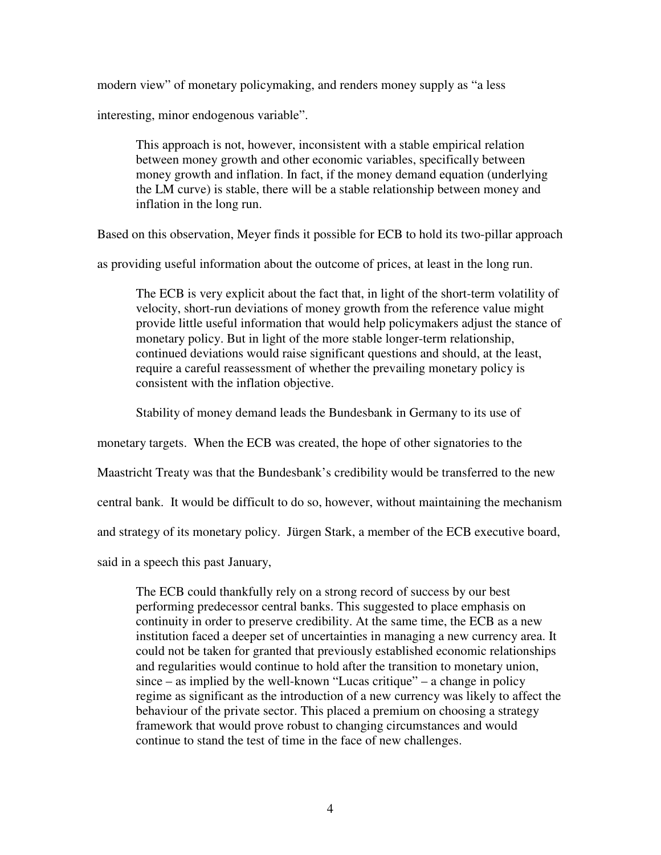modern view" of monetary policymaking, and renders money supply as "a less

interesting, minor endogenous variable".

This approach is not, however, inconsistent with a stable empirical relation between money growth and other economic variables, specifically between money growth and inflation. In fact, if the money demand equation (underlying the LM curve) is stable, there will be a stable relationship between money and inflation in the long run.

Based on this observation, Meyer finds it possible for ECB to hold its two-pillar approach

as providing useful information about the outcome of prices, at least in the long run.

The ECB is very explicit about the fact that, in light of the short-term volatility of velocity, short-run deviations of money growth from the reference value might provide little useful information that would help policymakers adjust the stance of monetary policy. But in light of the more stable longer-term relationship, continued deviations would raise significant questions and should, at the least, require a careful reassessment of whether the prevailing monetary policy is consistent with the inflation objective.

Stability of money demand leads the Bundesbank in Germany to its use of

monetary targets. When the ECB was created, the hope of other signatories to the

Maastricht Treaty was that the Bundesbank's credibility would be transferred to the new

central bank. It would be difficult to do so, however, without maintaining the mechanism

and strategy of its monetary policy. Jürgen Stark, a member of the ECB executive board,

said in a speech this past January,

The ECB could thankfully rely on a strong record of success by our best performing predecessor central banks. This suggested to place emphasis on continuity in order to preserve credibility. At the same time, the ECB as a new institution faced a deeper set of uncertainties in managing a new currency area. It could not be taken for granted that previously established economic relationships and regularities would continue to hold after the transition to monetary union,  $since - as implied by the well-known "Lucas critique" – a change in policy$ regime as significant as the introduction of a new currency was likely to affect the behaviour of the private sector. This placed a premium on choosing a strategy framework that would prove robust to changing circumstances and would continue to stand the test of time in the face of new challenges.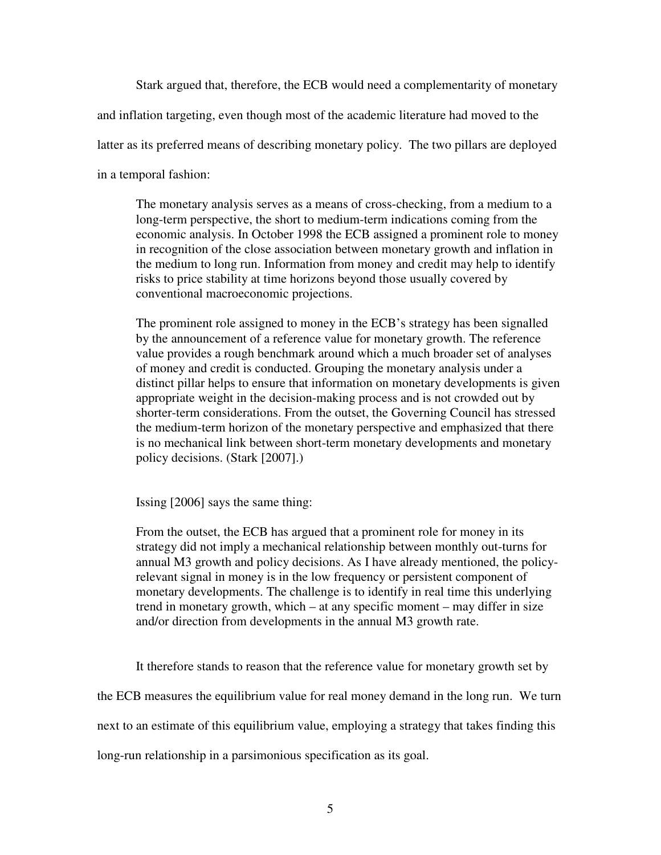Stark argued that, therefore, the ECB would need a complementarity of monetary

and inflation targeting, even though most of the academic literature had moved to the

latter as its preferred means of describing monetary policy. The two pillars are deployed

in a temporal fashion:

The monetary analysis serves as a means of cross-checking, from a medium to a long-term perspective, the short to medium-term indications coming from the economic analysis. In October 1998 the ECB assigned a prominent role to money in recognition of the close association between monetary growth and inflation in the medium to long run. Information from money and credit may help to identify risks to price stability at time horizons beyond those usually covered by conventional macroeconomic projections.

The prominent role assigned to money in the ECB's strategy has been signalled by the announcement of a reference value for monetary growth. The reference value provides a rough benchmark around which a much broader set of analyses of money and credit is conducted. Grouping the monetary analysis under a distinct pillar helps to ensure that information on monetary developments is given appropriate weight in the decision-making process and is not crowded out by shorter-term considerations. From the outset, the Governing Council has stressed the medium-term horizon of the monetary perspective and emphasized that there is no mechanical link between short-term monetary developments and monetary policy decisions. (Stark [2007].)

Issing [2006] says the same thing:

From the outset, the ECB has argued that a prominent role for money in its strategy did not imply a mechanical relationship between monthly out-turns for annual M3 growth and policy decisions. As I have already mentioned, the policyrelevant signal in money is in the low frequency or persistent component of monetary developments. The challenge is to identify in real time this underlying trend in monetary growth, which – at any specific moment – may differ in size and/or direction from developments in the annual M3 growth rate.

It therefore stands to reason that the reference value for monetary growth set by

the ECB measures the equilibrium value for real money demand in the long run. We turn

next to an estimate of this equilibrium value, employing a strategy that takes finding this

long-run relationship in a parsimonious specification as its goal.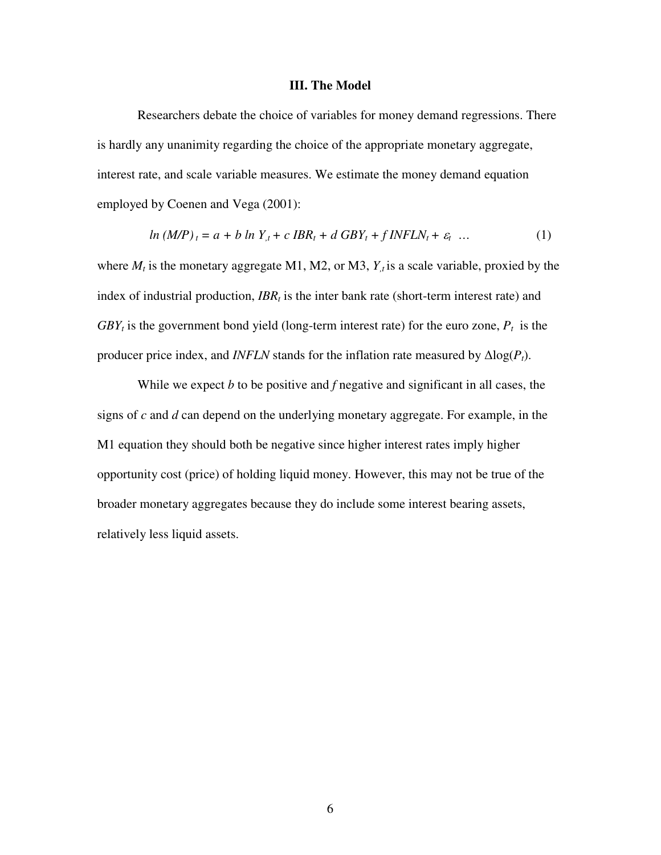#### **III. The Model**

Researchers debate the choice of variables for money demand regressions. There is hardly any unanimity regarding the choice of the appropriate monetary aggregate, interest rate, and scale variable measures. We estimate the money demand equation employed by Coenen and Vega (2001):

$$
\ln (M/P)_t = a + b \ln Y_{,t} + c \, IBR_t + d \, GBY_t + f \, INFLN_t + \varepsilon_t \quad \dots \tag{1}
$$

where  $M_t$  is the monetary aggregate M1, M2, or M3,  $Y_t$  is a scale variable, proxied by the index of industrial production, *IBR<sub>t</sub>* is the inter bank rate (short-term interest rate) and  $GBY_t$  is the government bond yield (long-term interest rate) for the euro zone,  $P_t$  is the producer price index, and *INFLN* stands for the inflation rate measured by  $\Delta \log(P_t)$ .

While we expect *b* to be positive and *f* negative and significant in all cases, the signs of *c* and *d* can depend on the underlying monetary aggregate. For example, in the M1 equation they should both be negative since higher interest rates imply higher opportunity cost (price) of holding liquid money. However, this may not be true of the broader monetary aggregates because they do include some interest bearing assets, relatively less liquid assets.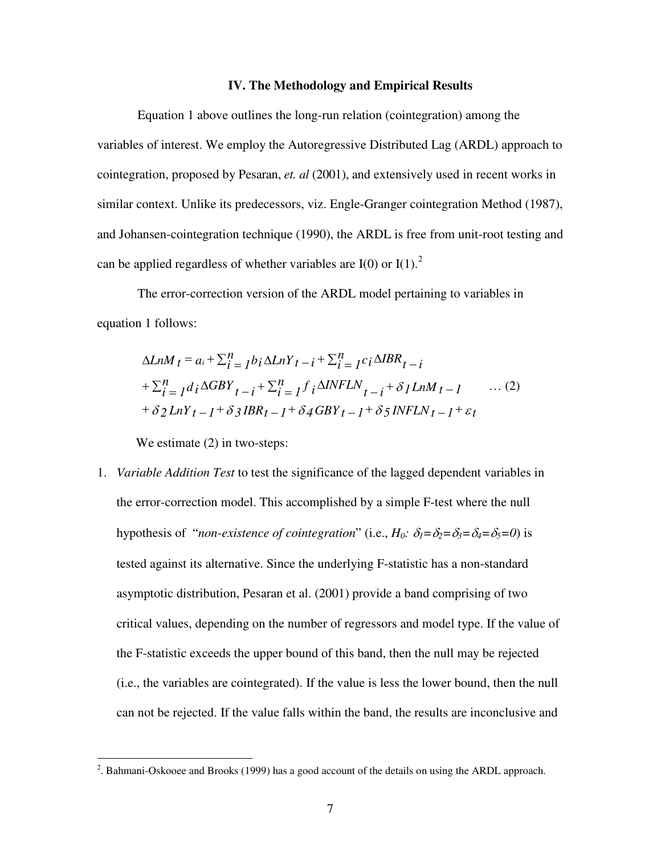#### **IV. The Methodology and Empirical Results**

Equation 1 above outlines the long-run relation (cointegration) among the variables of interest. We employ the Autoregressive Distributed Lag (ARDL) approach to cointegration, proposed by Pesaran, *et. al* (2001), and extensively used in recent works in similar context. Unlike its predecessors, viz. Engle-Granger cointegration Method (1987), and Johansen-cointegration technique (1990), the ARDL is free from unit-root testing and can be applied regardless of whether variables are  $I(0)$  or  $I(1)$ .<sup>2</sup>

The error-correction version of the ARDL model pertaining to variables in equation 1 follows:

$$
\Delta L n M_t = a_i + \sum_{i=1}^{n} b_i \Delta L n Y_t - i + \sum_{i=1}^{n} c_i \Delta I B R_t - i
$$
  
+
$$
\sum_{i=1}^{n} d_i \Delta G B Y_t - i + \sum_{i=1}^{n} f_i \Delta I N F L N_t - i + \delta I L n M_t - I \qquad \cdots (2)
$$
  
+
$$
\delta 2 L n Y_t - I + \delta 3 I B R_t - I + \delta 4 G B Y_t - I + \delta 5 I N F L N_t - I + \varepsilon_t
$$

We estimate  $(2)$  in two-steps:

1. *Variable Addition Test* to test the significance of the lagged dependent variables in the error-correction model. This accomplished by a simple F-test where the null hypothesis of "*non-existence of cointegration*" (i.e.,  $H_0$ :  $\delta_1 = \delta_2 = \delta_3 = \delta_4 = \delta_5 = 0$ ) is tested against its alternative. Since the underlying F-statistic has a non-standard asymptotic distribution, Pesaran et al. (2001) provide a band comprising of two critical values, depending on the number of regressors and model type. If the value of the F-statistic exceeds the upper bound of this band, then the null may be rejected (i.e., the variables are cointegrated). If the value is less the lower bound, then the null can not be rejected. If the value falls within the band, the results are inconclusive and

<sup>&</sup>lt;sup>2</sup>. Bahmani-Oskooee and Brooks (1999) has a good account of the details on using the ARDL approach.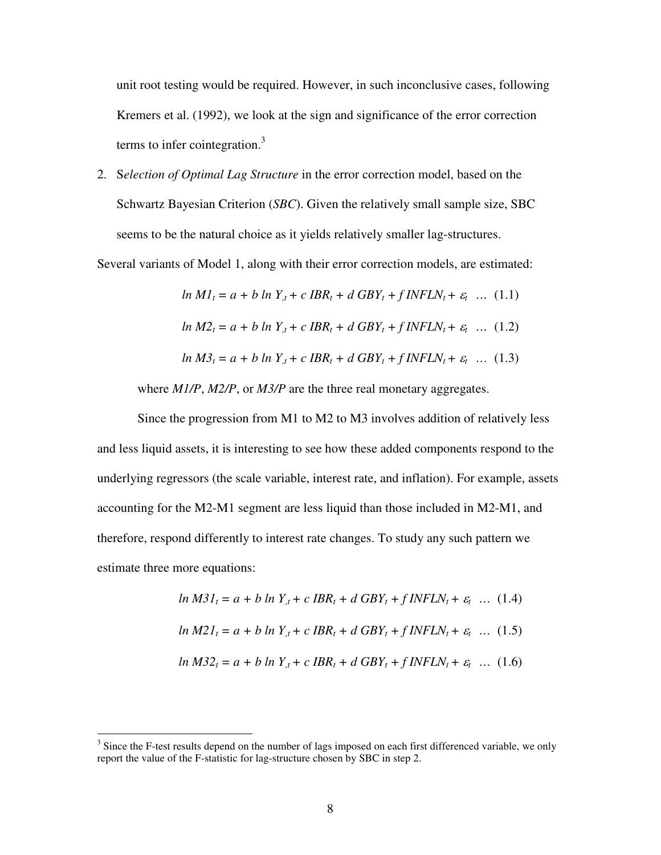unit root testing would be required. However, in such inconclusive cases, following Kremers et al. (1992), we look at the sign and significance of the error correction terms to infer cointegration. $3$ 

2. S*election of Optimal Lag Structure* in the error correction model, based on the Schwartz Bayesian Criterion (*SBC*). Given the relatively small sample size, SBC seems to be the natural choice as it yields relatively smaller lag-structures.

Several variants of Model 1, along with their error correction models, are estimated:

$$
\ln M I_t = a + b \ln Y_{,t} + c \, IBR_t + d \, GBY_t + f \, INFLN_t + \varepsilon_t \quad \dots \quad (1.1)
$$
\n
$$
\ln M 2_t = a + b \ln Y_{,t} + c \, IBR_t + d \, GBY_t + f \, INFLN_t + \varepsilon_t \quad \dots \quad (1.2)
$$
\n
$$
\ln M 3_t = a + b \ln Y_{,t} + c \, IBR_t + d \, GBY_t + f \, INFLN_t + \varepsilon_t \quad \dots \quad (1.3)
$$

where *M1/P*, *M2/P*, or *M3/P* are the three real monetary aggregates.

Since the progression from M1 to M2 to M3 involves addition of relatively less and less liquid assets, it is interesting to see how these added components respond to the underlying regressors (the scale variable, interest rate, and inflation). For example, assets accounting for the M2-M1 segment are less liquid than those included in M2-M1, and therefore, respond differently to interest rate changes. To study any such pattern we estimate three more equations:

$$
\ln M31_t = a + b \ln Y_{,t} + c \, IBR_t + d \, GBY_t + f \, INFLN_t + \varepsilon_t \quad \dots \quad (1.4)
$$
\n
$$
\ln M21_t = a + b \ln Y_{,t} + c \, IBR_t + d \, GBY_t + f \, INFLN_t + \varepsilon_t \quad \dots \quad (1.5)
$$
\n
$$
\ln M32_t = a + b \ln Y_{,t} + c \, IBR_t + d \, GBY_t + f \, INFLN_t + \varepsilon_t \quad \dots \quad (1.6)
$$

 $\overline{a}$ 

<sup>&</sup>lt;sup>3</sup> Since the F-test results depend on the number of lags imposed on each first differenced variable, we only report the value of the F-statistic for lag-structure chosen by SBC in step 2.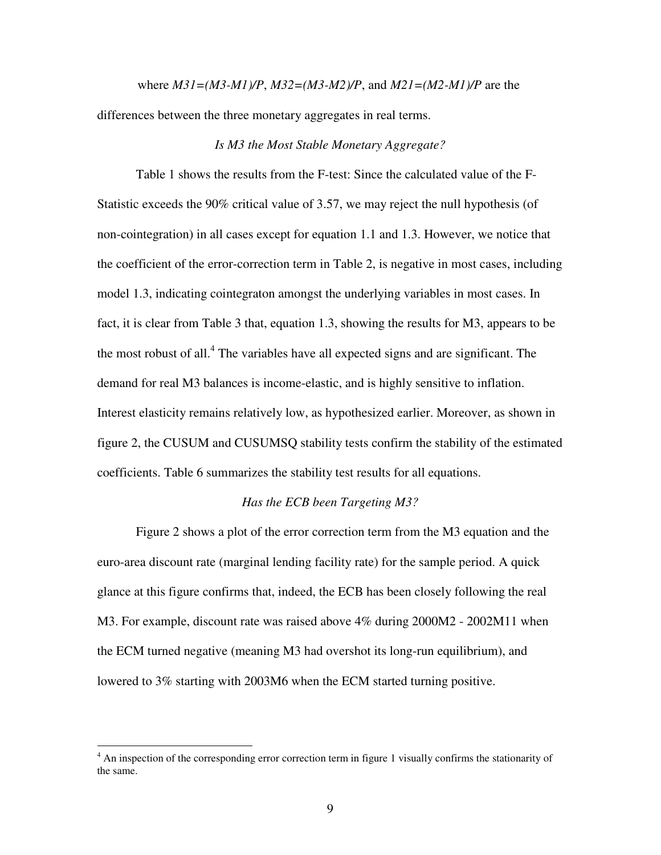where *M31=(M3-M1)/P*, *M32=(M3-M2)/P*, and *M21=(M2-M1)/P* are the differences between the three monetary aggregates in real terms.

#### *Is M3 the Most Stable Monetary Aggregate?*

Table 1 shows the results from the F-test: Since the calculated value of the F-Statistic exceeds the 90% critical value of 3.57, we may reject the null hypothesis (of non-cointegration) in all cases except for equation 1.1 and 1.3. However, we notice that the coefficient of the error-correction term in Table 2, is negative in most cases, including model 1.3, indicating cointegraton amongst the underlying variables in most cases. In fact, it is clear from Table 3 that, equation 1.3, showing the results for M3, appears to be the most robust of all.<sup>4</sup> The variables have all expected signs and are significant. The demand for real M3 balances is income-elastic, and is highly sensitive to inflation. Interest elasticity remains relatively low, as hypothesized earlier. Moreover, as shown in figure 2, the CUSUM and CUSUMSQ stability tests confirm the stability of the estimated coefficients. Table 6 summarizes the stability test results for all equations.

#### *Has the ECB been Targeting M3?*

Figure 2 shows a plot of the error correction term from the M3 equation and the euro-area discount rate (marginal lending facility rate) for the sample period. A quick glance at this figure confirms that, indeed, the ECB has been closely following the real M3. For example, discount rate was raised above 4% during 2000M2 - 2002M11 when the ECM turned negative (meaning M3 had overshot its long-run equilibrium), and lowered to 3% starting with 2003M6 when the ECM started turning positive.

<sup>&</sup>lt;sup>4</sup> An inspection of the corresponding error correction term in figure 1 visually confirms the stationarity of the same.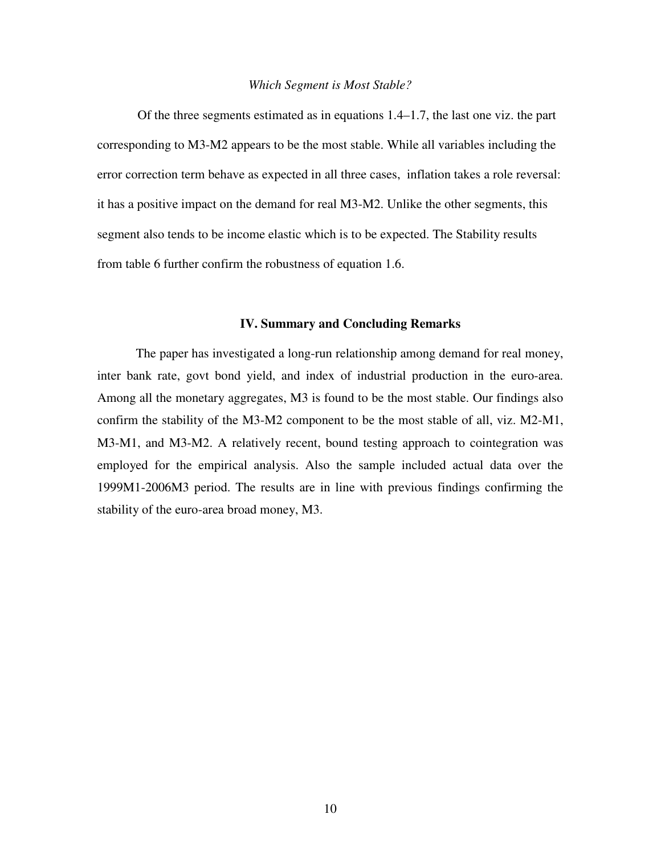#### *Which Segment is Most Stable?*

Of the three segments estimated as in equations 1.4–1.7, the last one viz. the part corresponding to M3-M2 appears to be the most stable. While all variables including the error correction term behave as expected in all three cases, inflation takes a role reversal: it has a positive impact on the demand for real M3-M2. Unlike the other segments, this segment also tends to be income elastic which is to be expected. The Stability results from table 6 further confirm the robustness of equation 1.6.

#### **IV. Summary and Concluding Remarks**

The paper has investigated a long-run relationship among demand for real money, inter bank rate, govt bond yield, and index of industrial production in the euro-area. Among all the monetary aggregates, M3 is found to be the most stable. Our findings also confirm the stability of the M3-M2 component to be the most stable of all, viz. M2-M1, M3-M1, and M3-M2. A relatively recent, bound testing approach to cointegration was employed for the empirical analysis. Also the sample included actual data over the 1999M1-2006M3 period. The results are in line with previous findings confirming the stability of the euro-area broad money, M3.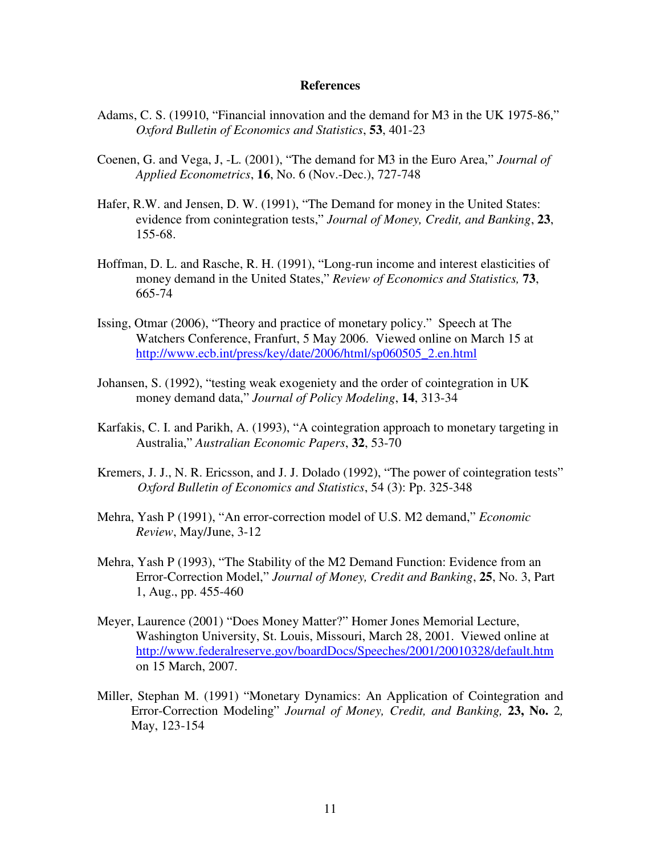#### **References**

- Adams, C. S. (19910, "Financial innovation and the demand for M3 in the UK 1975-86," *Oxford Bulletin of Economics and Statistics*, **53**, 401-23
- Coenen, G. and Vega, J, -L. (2001), "The demand for M3 in the Euro Area," *Journal of Applied Econometrics*, **16**, No. 6 (Nov.-Dec.), 727-748
- Hafer, R.W. and Jensen, D. W. (1991), "The Demand for money in the United States: evidence from conintegration tests," *Journal of Money, Credit, and Banking*, **23**, 155-68.
- Hoffman, D. L. and Rasche, R. H. (1991), "Long-run income and interest elasticities of money demand in the United States," *Review of Economics and Statistics,* **73**, 665-74
- Issing, Otmar (2006), "Theory and practice of monetary policy." Speech at The Watchers Conference, Franfurt, 5 May 2006. Viewed online on March 15 at [http://www.ecb.int/press/key/date/2006/html/sp060505\\_2.en.html](http://www.ecb.int/press/key/date/2006/html/sp060505_2.en.html)
- Johansen, S. (1992), "testing weak exogeniety and the order of cointegration in UK money demand data," *Journal of Policy Modeling*, **14**, 313-34
- Karfakis, C. I. and Parikh, A. (1993), "A cointegration approach to monetary targeting in Australia," *Australian Economic Papers*, **32**, 53-70
- Kremers, J. J., N. R. Ericsson, and J. J. Dolado (1992), "The power of cointegration tests" *Oxford Bulletin of Economics and Statistics*, 54 (3): Pp. 325-348
- Mehra, Yash P (1991), "An error-correction model of U.S. M2 demand," *Economic Review*, May/June, 3-12
- Mehra, Yash P (1993), "The Stability of the M2 Demand Function: Evidence from an Error-Correction Model," *Journal of Money, Credit and Banking*, **25**, No. 3, Part 1, Aug., pp. 455-460
- Meyer, Laurence (2001) "Does Money Matter?" Homer Jones Memorial Lecture, Washington University, St. Louis, Missouri, March 28, 2001. Viewed online at <http://www.federalreserve.gov/boardDocs/Speeches/2001/20010328/default.htm> on 15 March, 2007.
- Miller, Stephan M. (1991) "Monetary Dynamics: An Application of Cointegration and Error-Correction Modeling" *Journal of Money, Credit, and Banking,* **23, No.** 2*,* May, 123-154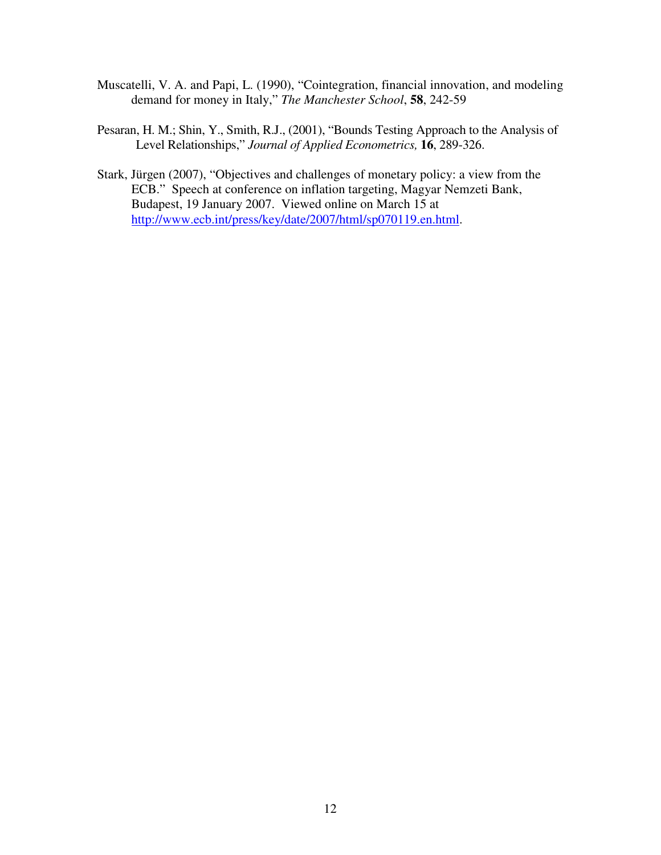- Muscatelli, V. A. and Papi, L. (1990), "Cointegration, financial innovation, and modeling demand for money in Italy," *The Manchester School*, **58**, 242-59
- Pesaran, H. M.; Shin, Y., Smith, R.J., (2001), "Bounds Testing Approach to the Analysis of Level Relationships," *Journal of Applied Econometrics,* **16**, 289-326.
- Stark, Jürgen (2007), "Objectives and challenges of monetary policy: a view from the ECB." Speech at conference on inflation targeting, Magyar Nemzeti Bank, Budapest, 19 January 2007. Viewed online on March 15 at <http://www.ecb.int/press/key/date/2007/html/sp070119.en.html>.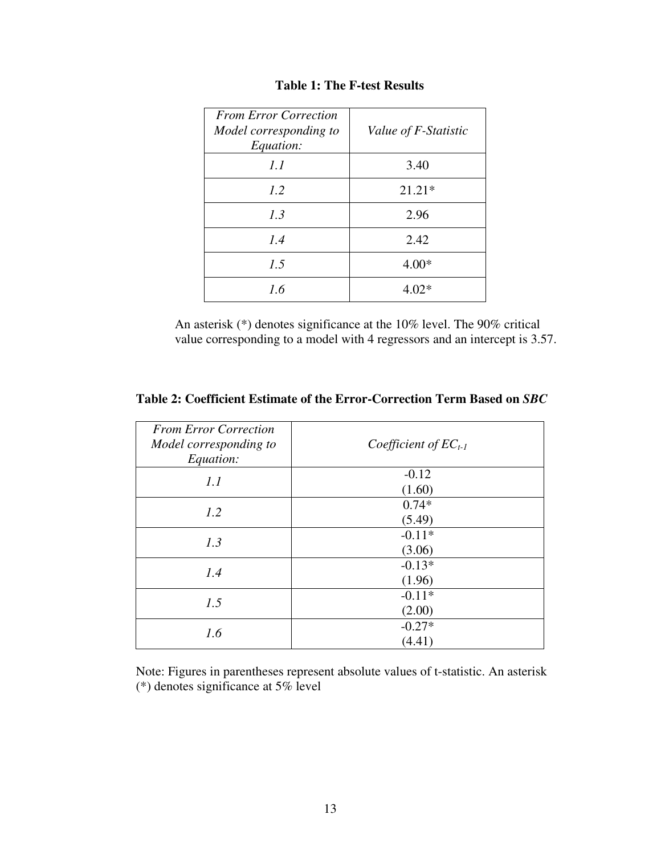| <b>From Error Correction</b><br>Model corresponding to<br>Equation: | Value of F-Statistic |
|---------------------------------------------------------------------|----------------------|
| 1.1                                                                 | 3.40                 |
| 1.2                                                                 | $21.21*$             |
| 1.3                                                                 | 2.96                 |
| 1.4                                                                 | 2.42                 |
| 1.5                                                                 | $4.00*$              |
| 1.6                                                                 | $4.02*$              |

## **Table 1: The F-test Results**

An asterisk (\*) denotes significance at the 10% level. The 90% critical value corresponding to a model with 4 regressors and an intercept is 3.57.

| <b>From Error Correction</b><br>Model corresponding to<br>Equation: | Coefficient of $EC_{t-1}$ |
|---------------------------------------------------------------------|---------------------------|
| 1.1                                                                 | $-0.12$<br>(1.60)         |
| 1.2                                                                 | $0.74*$<br>(5.49)         |
| 1.3                                                                 | $-0.11*$<br>(3.06)        |
| 1.4                                                                 | $-0.13*$<br>(1.96)        |
| 1.5                                                                 | $-0.11*$<br>(2.00)        |
| 1.6                                                                 | $-0.27*$<br>(4.41)        |

**Table 2: Coefficient Estimate of the Error-Correction Term Based on** *SBC*

Note: Figures in parentheses represent absolute values of t-statistic. An asterisk (\*) denotes significance at 5% level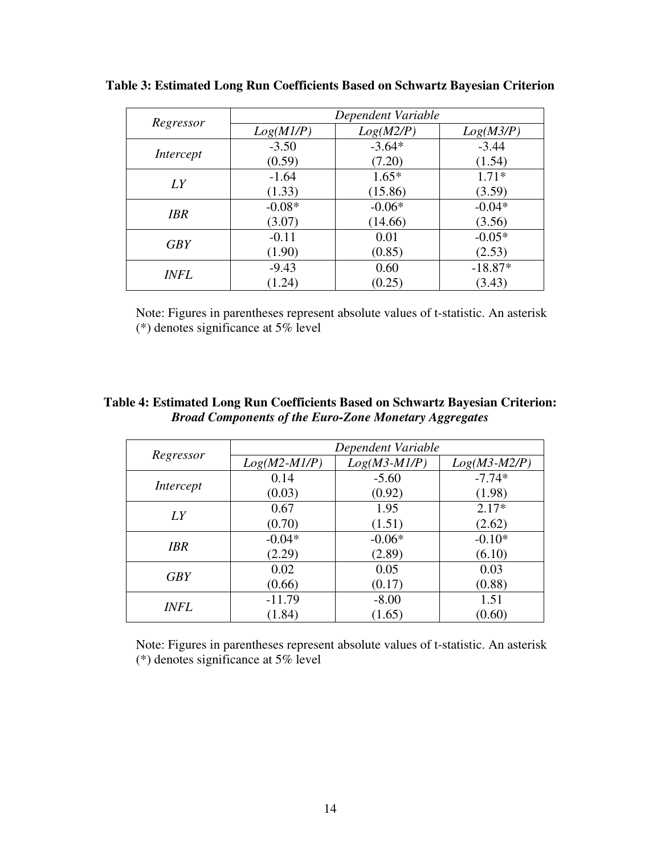|             | Dependent Variable |           |           |
|-------------|--------------------|-----------|-----------|
| Regressor   | Log(M1/P)          | Log(M2/P) | Log(M3/P) |
| Intercept   | $-3.50$            | $-3.64*$  | $-3.44$   |
|             | (0.59)             | (7.20)    | (1.54)    |
| LY          | $-1.64$            | $1.65*$   | $1.71*$   |
|             | (1.33)             | (15.86)   | (3.59)    |
| <b>IBR</b>  | $-0.08*$           | $-0.06*$  | $-0.04*$  |
|             | (3.07)             | (14.66)   | (3.56)    |
| <b>GBY</b>  | $-0.11$            | 0.01      | $-0.05*$  |
|             | (1.90)             | (0.85)    | (2.53)    |
| <i>INFL</i> | $-9.43$            | 0.60      | $-18.87*$ |
|             | (1.24)             | (0.25)    | (3.43)    |

**Table 3: Estimated Long Run Coefficients Based on Schwartz Bayesian Criterion** 

Note: Figures in parentheses represent absolute values of t-statistic. An asterisk (\*) denotes significance at 5% level

## **Table 4: Estimated Long Run Coefficients Based on Schwartz Bayesian Criterion:**  *Broad Components of the Euro-Zone Monetary Aggregates*

|             | Dependent Variable |                |                |
|-------------|--------------------|----------------|----------------|
| Regressor   | $Log(M2-M1/P)$     | $Log(M3-M1/P)$ | $Log(M3-M2/P)$ |
| Intercept   | 0.14               | $-5.60$        | $-7.74*$       |
|             | (0.03)             | (0.92)         | (1.98)         |
| LY          | 0.67               | 1.95           | $2.17*$        |
|             | (0.70)             | (1.51)         | (2.62)         |
| <b>IBR</b>  | $-0.04*$           | $-0.06*$       | $-0.10*$       |
|             | (2.29)             | (2.89)         | (6.10)         |
| <b>GBY</b>  | 0.02               | 0.05           | 0.03           |
|             | (0.66)             | (0.17)         | (0.88)         |
|             | $-11.79$           | $-8.00$        | 1.51           |
| <i>INFL</i> | (1.84)             | (1.65)         | (0.60)         |

Note: Figures in parentheses represent absolute values of t-statistic. An asterisk (\*) denotes significance at 5% level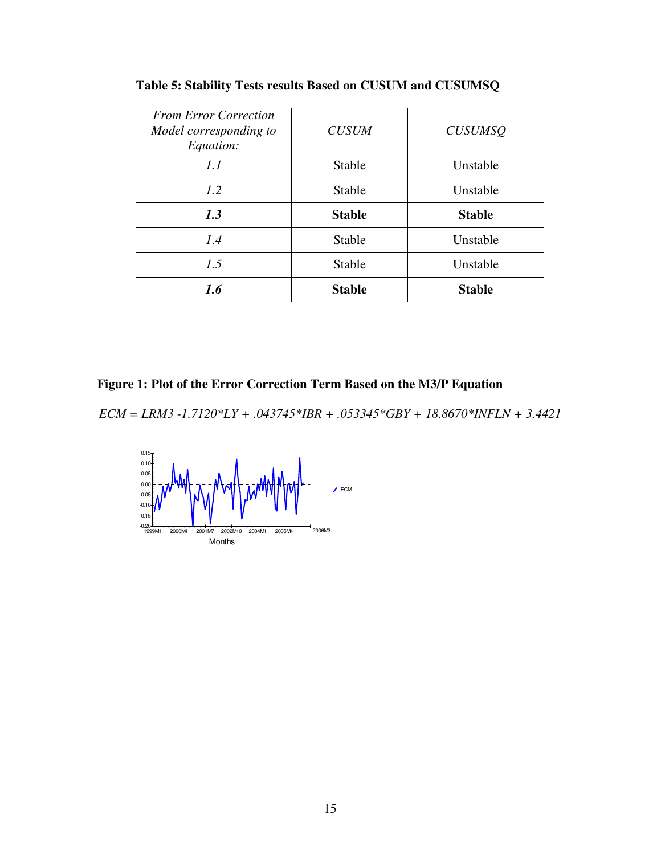| <b>From Error Correction</b><br>Model corresponding to<br>Equation: | <b>CUSUM</b>  | <b>CUSUMSQ</b> |
|---------------------------------------------------------------------|---------------|----------------|
| 1.1                                                                 | Stable        | Unstable       |
| 1.2                                                                 | <b>Stable</b> | Unstable       |
| 1.3                                                                 |               | <b>Stable</b>  |
|                                                                     | <b>Stable</b> |                |
| 1.4                                                                 | <b>Stable</b> | Unstable       |
| 1.5                                                                 | Stable        | Unstable       |

**Table 5: Stability Tests results Based on CUSUM and CUSUMSQ** 

**Figure 1: Plot of the Error Correction Term Based on the M3/P Equation** 

*ECM = LRM3 -1.7120\*LY + .043745\*IBR + .053345\*GBY + 18.8670\*INFLN + 3.4421* 

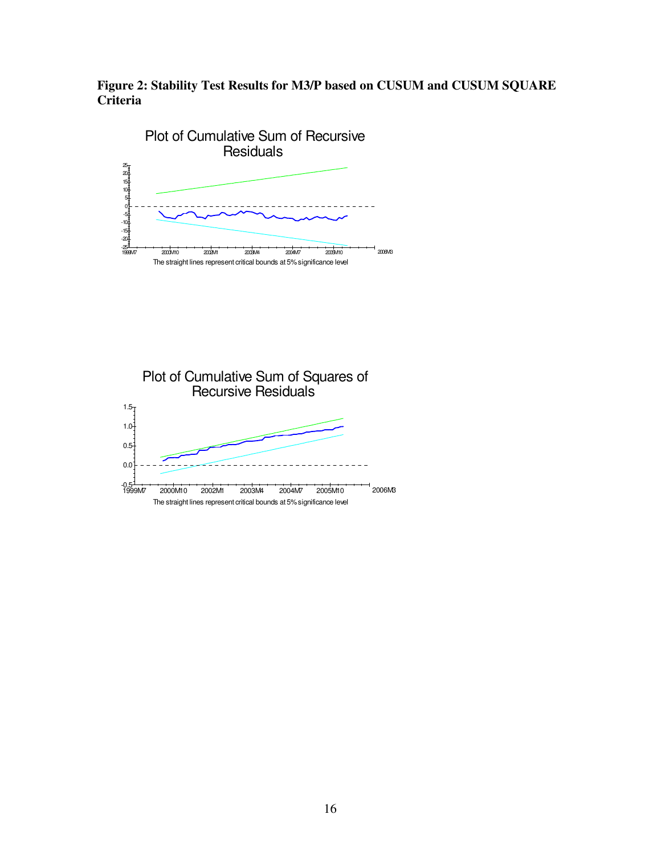**Figure 2: Stability Test Results for M3/P based on CUSUM and CUSUM SQUARE Criteria**